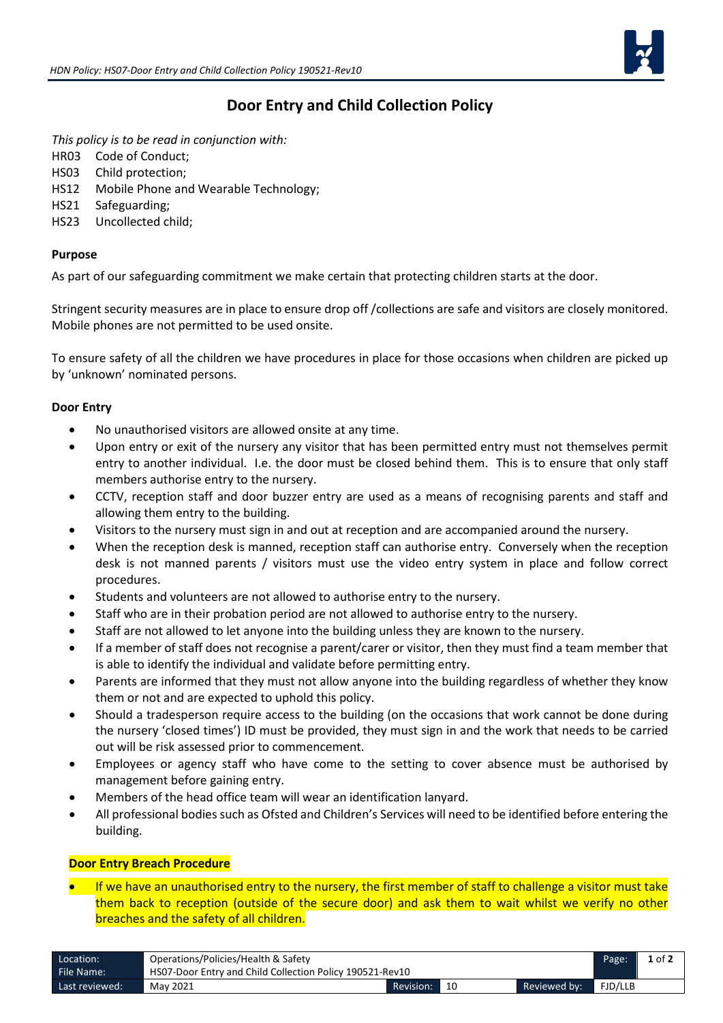

# **Door Entry and Child Collection Policy**

*This policy is to be read in conjunction with:*

- HR03 Code of Conduct;
- HS03 Child protection;
- HS12 Mobile Phone and Wearable Technology;
- HS21 Safeguarding;
- HS23 Uncollected child;

## **Purpose**

As part of our safeguarding commitment we make certain that protecting children starts at the door.

Stringent security measures are in place to ensure drop off /collections are safe and visitors are closely monitored. Mobile phones are not permitted to be used onsite.

To ensure safety of all the children we have procedures in place for those occasions when children are picked up by 'unknown' nominated persons.

## **Door Entry**

- No unauthorised visitors are allowed onsite at any time.
- Upon entry or exit of the nursery any visitor that has been permitted entry must not themselves permit entry to another individual. I.e. the door must be closed behind them. This is to ensure that only staff members authorise entry to the nursery.
- CCTV, reception staff and door buzzer entry are used as a means of recognising parents and staff and allowing them entry to the building.
- Visitors to the nursery must sign in and out at reception and are accompanied around the nursery.
- When the reception desk is manned, reception staff can authorise entry. Conversely when the reception desk is not manned parents / visitors must use the video entry system in place and follow correct procedures.
- Students and volunteers are not allowed to authorise entry to the nursery.
- Staff who are in their probation period are not allowed to authorise entry to the nursery.
- Staff are not allowed to let anyone into the building unless they are known to the nursery.
- If a member of staff does not recognise a parent/carer or visitor, then they must find a team member that is able to identify the individual and validate before permitting entry.
- Parents are informed that they must not allow anyone into the building regardless of whether they know them or not and are expected to uphold this policy.
- Should a tradesperson require access to the building (on the occasions that work cannot be done during the nursery 'closed times') ID must be provided, they must sign in and the work that needs to be carried out will be risk assessed prior to commencement.
- Employees or agency staff who have come to the setting to cover absence must be authorised by management before gaining entry.
- Members of the head office team will wear an identification lanyard.
- All professional bodies such as Ofsted and Children's Services will need to be identified before entering the building.

#### **Door Entry Breach Procedure**

• If we have an unauthorised entry to the nursery, the first member of staff to challenge a visitor must take them back to reception (outside of the secure door) and ask them to wait whilst we verify no other breaches and the safety of all children.

| Location:      | Operations/Policies/Health & Safety                      |           |    |              |         | $1$ of $2$ |
|----------------|----------------------------------------------------------|-----------|----|--------------|---------|------------|
| File Name:     | HS07-Door Entry and Child Collection Policy 190521-Rev10 |           |    |              |         |            |
| Last reviewed: | May 2021                                                 | Revision: | 10 | Reviewed by: | FJD/LLB |            |